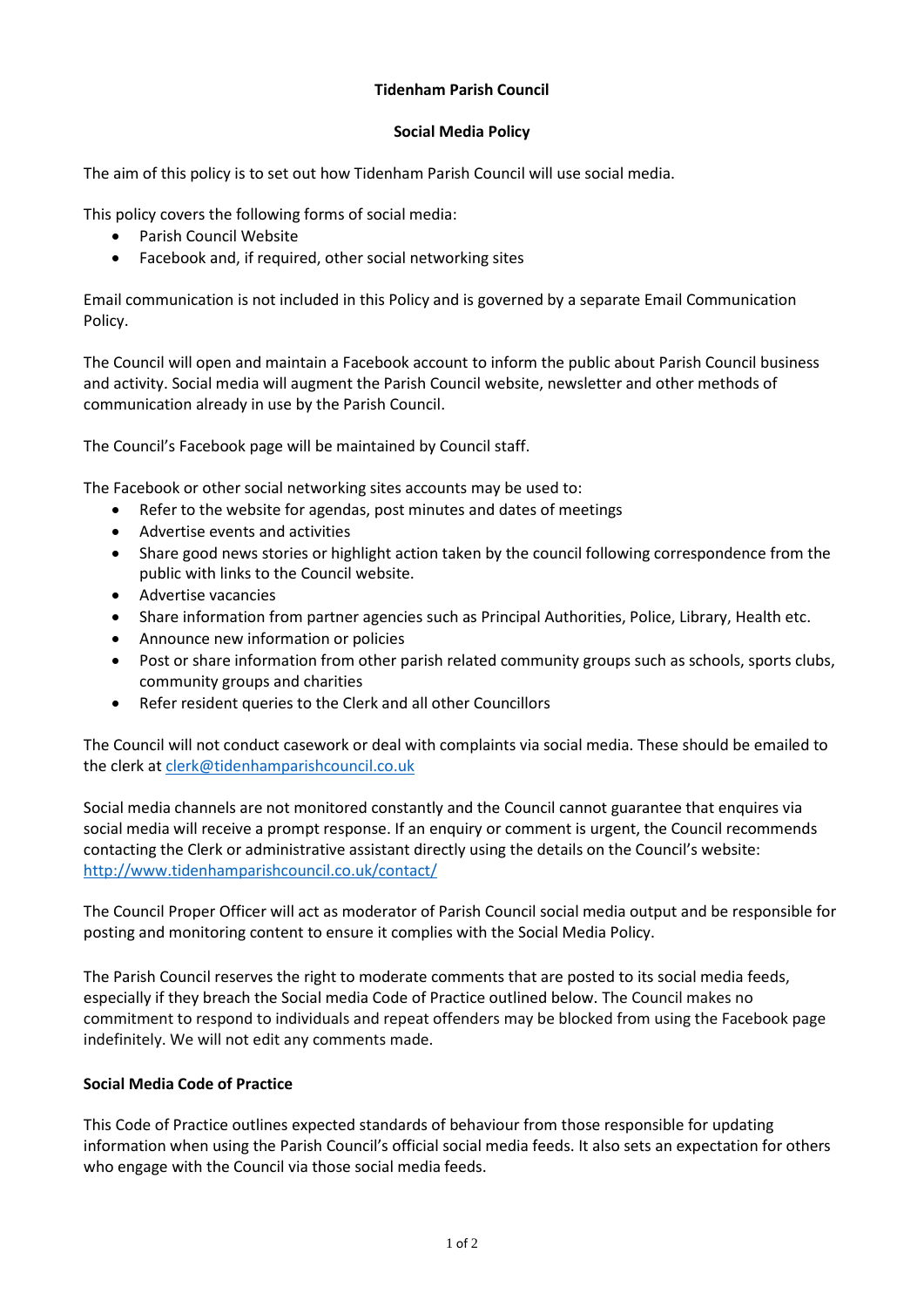# **Tidenham Parish Council**

#### **Social Media Policy**

The aim of this policy is to set out how Tidenham Parish Council will use social media.

This policy covers the following forms of social media:

- Parish Council Website
- Facebook and, if required, other social networking sites

Email communication is not included in this Policy and is governed by a separate Email Communication Policy.

The Council will open and maintain a Facebook account to inform the public about Parish Council business and activity. Social media will augment the Parish Council website, newsletter and other methods of communication already in use by the Parish Council.

The Council's Facebook page will be maintained by Council staff.

The Facebook or other social networking sites accounts may be used to:

- Refer to the website for agendas, post minutes and dates of meetings
- Advertise events and activities
- Share good news stories or highlight action taken by the council following correspondence from the public with links to the Council website.
- Advertise vacancies
- Share information from partner agencies such as Principal Authorities, Police, Library, Health etc.
- Announce new information or policies
- Post or share information from other parish related community groups such as schools, sports clubs, community groups and charities
- Refer resident queries to the Clerk and all other Councillors

The Council will not conduct casework or deal with complaints via social media. These should be emailed to the clerk a[t clerk@tidenhamparishcouncil.co.uk](mailto:clerk@tidenhamparishcouncil.co.uk)

Social media channels are not monitored constantly and the Council cannot guarantee that enquires via social media will receive a prompt response. If an enquiry or comment is urgent, the Council recommends contacting the Clerk or administrative assistant directly using the details on the Council's website: <http://www.tidenhamparishcouncil.co.uk/contact/>

The Council Proper Officer will act as moderator of Parish Council social media output and be responsible for posting and monitoring content to ensure it complies with the Social Media Policy.

The Parish Council reserves the right to moderate comments that are posted to its social media feeds, especially if they breach the Social media Code of Practice outlined below. The Council makes no commitment to respond to individuals and repeat offenders may be blocked from using the Facebook page indefinitely. We will not edit any comments made.

# **Social Media Code of Practice**

This Code of Practice outlines expected standards of behaviour from those responsible for updating information when using the Parish Council's official social media feeds. It also sets an expectation for others who engage with the Council via those social media feeds.